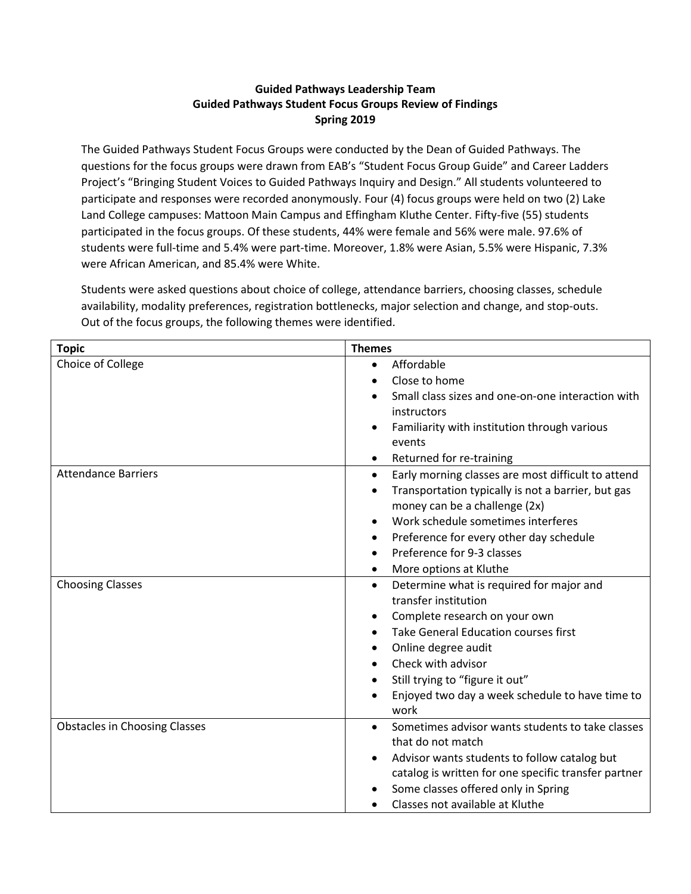## **Guided Pathways Leadership Team Guided Pathways Student Focus Groups Review of Findings Spring 2019**

The Guided Pathways Student Focus Groups were conducted by the Dean of Guided Pathways. The questions for the focus groups were drawn from EAB's "Student Focus Group Guide" and Career Ladders Project's "Bringing Student Voices to Guided Pathways Inquiry and Design." All students volunteered to participate and responses were recorded anonymously. Four (4) focus groups were held on two (2) Lake Land College campuses: Mattoon Main Campus and Effingham Kluthe Center. Fifty-five (55) students participated in the focus groups. Of these students, 44% were female and 56% were male. 97.6% of students were full-time and 5.4% were part-time. Moreover, 1.8% were Asian, 5.5% were Hispanic, 7.3% were African American, and 85.4% were White.

Students were asked questions about choice of college, attendance barriers, choosing classes, schedule availability, modality preferences, registration bottlenecks, major selection and change, and stop-outs. Out of the focus groups, the following themes were identified.

| <b>Topic</b>                         | <b>Themes</b>                                                   |
|--------------------------------------|-----------------------------------------------------------------|
| Choice of College                    | Affordable<br>$\bullet$                                         |
|                                      | Close to home                                                   |
|                                      | Small class sizes and one-on-one interaction with               |
|                                      | instructors                                                     |
|                                      | Familiarity with institution through various                    |
|                                      | events                                                          |
|                                      | Returned for re-training<br>$\bullet$                           |
| <b>Attendance Barriers</b>           | Early morning classes are most difficult to attend<br>$\bullet$ |
|                                      | Transportation typically is not a barrier, but gas              |
|                                      | money can be a challenge (2x)                                   |
|                                      | Work schedule sometimes interferes<br>$\bullet$                 |
|                                      | Preference for every other day schedule                         |
|                                      | Preference for 9-3 classes                                      |
|                                      | More options at Kluthe<br>٠                                     |
| <b>Choosing Classes</b>              | Determine what is required for major and<br>$\bullet$           |
|                                      | transfer institution                                            |
|                                      | Complete research on your own<br>$\bullet$                      |
|                                      | Take General Education courses first                            |
|                                      | Online degree audit<br>٠                                        |
|                                      | Check with advisor                                              |
|                                      | Still trying to "figure it out"                                 |
|                                      | Enjoyed two day a week schedule to have time to                 |
|                                      | work                                                            |
| <b>Obstacles in Choosing Classes</b> | Sometimes advisor wants students to take classes                |
|                                      | that do not match                                               |
|                                      | Advisor wants students to follow catalog but                    |
|                                      | catalog is written for one specific transfer partner            |
|                                      | Some classes offered only in Spring                             |
|                                      | Classes not available at Kluthe                                 |